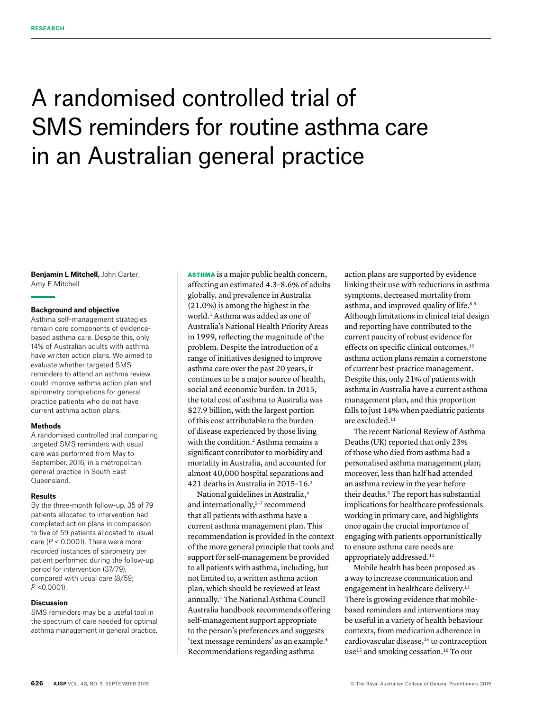# A randomised controlled trial of SMS reminders for routine asthma care in an Australian general practice

**Benjamin L Mitchell,** John Carter, Amy E Mitchell

## **Background and objective**

Asthma self-management strategies remain core components of evidencebased asthma care. Despite this, only 14% of Australian adults with asthma have written action plans. We aimed to evaluate whether targeted SMS reminders to attend an asthma review could improve asthma action plan and spirometry completions for general practice patients who do not have current asthma action plans.

## **Methods**

A randomised controlled trial comparing targeted SMS reminders with usual care was performed from May to September, 2016, in a metropolitan general practice in South East Queensland.

## **Results**

By the three-month follow-up, 35 of 79 patients allocated to intervention had completed action plans in comparison to five of 59 patients allocated to usual care (*P* < 0.0001). There were more recorded instances of spirometry per patient performed during the follow-up period for intervention (37/79), compared with usual care (8/59; *P* <0.0001).

## **Discussion**

SMS reminders may be a useful tool in the spectrum of care needed for optimal asthma management in general practice.

ASTHMA is a major public health concern, affecting an estimated 4.3–8.6% of adults globally, and prevalence in Australia (21.0%) is among the highest in the world.<sup>1</sup> Asthma was added as one of Australia's National Health Priority Areas in 1999, reflecting the magnitude of the problem. Despite the introduction of a range of initiatives designed to improve asthma care over the past 20 years, it continues to be a major source of health, social and economic burden. In 2015, the total cost of asthma to Australia was \$27.9 billion, with the largest portion of this cost attributable to the burden of disease experienced by those living with the condition.<sup>2</sup> Asthma remains a significant contributor to morbidity and mortality in Australia, and accounted for almost 40,000 hospital separations and 421 deaths in Australia in 2015–16.3

National guidelines in Australia,4 and internationally,<sup>5-7</sup> recommend that all patients with asthma have a current asthma management plan. This recommendation is provided in the context of the more general principle that tools and support for self-management be provided to all patients with asthma, including, but not limited to, a written asthma action plan, which should be reviewed at least annually.4 The National Asthma Council Australia handbook recommends offering self-management support appropriate to the person's preferences and suggests 'text message reminders' as an example.4 Recommendations regarding asthma

action plans are supported by evidence linking their use with reductions in asthma symptoms, decreased mortality from asthma, and improved quality of life.<sup>8,9</sup> Although limitations in clinical trial design and reporting have contributed to the current paucity of robust evidence for effects on specific clinical outcomes,<sup>10</sup> asthma action plans remain a cornerstone of current best-practice management. Despite this, only 21% of patients with asthma in Australia have a current asthma management plan, and this proportion falls to just 14% when paediatric patients are excluded.<sup>11</sup>

The recent National Review of Asthma Deaths (UK) reported that only 23% of those who died from asthma had a personalised asthma management plan; moreover, less than half had attended an asthma review in the year before their deaths.<sup>5</sup> The report has substantial implications for healthcare professionals working in primary care, and highlights once again the crucial importance of engaging with patients opportunistically to ensure asthma care needs are appropriately addressed.<sup>12</sup>

Mobile health has been proposed as a way to increase communication and engagement in healthcare delivery.13 There is growing evidence that mobilebased reminders and interventions may be useful in a variety of health behaviour contexts, from medication adherence in cardiovascular disease,<sup>14</sup> to contraception use<sup>15</sup> and smoking cessation.<sup>16</sup> To our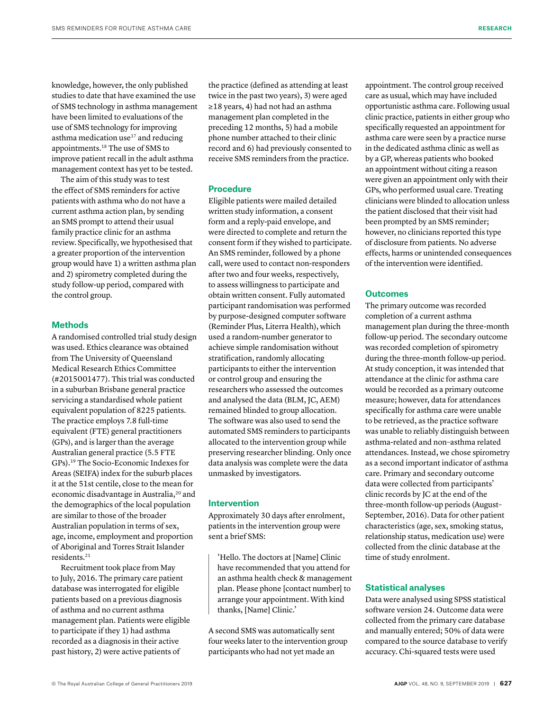knowledge, however, the only published studies to date that have examined the use of SMS technology in asthma management have been limited to evaluations of the use of SMS technology for improving asthma medication use<sup>17</sup> and reducing appointments.18 The use of SMS to improve patient recall in the adult asthma management context has yet to be tested.

The aim of this study was to test the effect of SMS reminders for active patients with asthma who do not have a current asthma action plan, by sending an SMS prompt to attend their usual family practice clinic for an asthma review. Specifically, we hypothesised that a greater proportion of the intervention group would have 1) a written asthma plan and 2) spirometry completed during the study follow-up period, compared with the control group.

## **Methods**

A randomised controlled trial study design was used. Ethics clearance was obtained from The University of Queensland Medical Research Ethics Committee (#2015001477). This trial was conducted in a suburban Brisbane general practice servicing a standardised whole patient equivalent population of 8225 patients. The practice employs 7.8 full-time equivalent (FTE) general practitioners (GPs), and is larger than the average Australian general practice (5.5 FTE GPs).19 The Socio-Economic Indexes for Areas (SEIFA) index for the suburb places it at the 51st centile, close to the mean for economic disadvantage in Australia,<sup>20</sup> and the demographics of the local population are similar to those of the broader Australian population in terms of sex, age, income, employment and proportion of Aboriginal and Torres Strait Islander residents.21

Recruitment took place from May to July, 2016. The primary care patient database was interrogated for eligible patients based on a previous diagnosis of asthma and no current asthma management plan. Patients were eligible to participate if they 1) had asthma recorded as a diagnosis in their active past history, 2) were active patients of

the practice (defined as attending at least twice in the past two years), 3) were aged ≥18 years, 4) had not had an asthma management plan completed in the preceding 12 months, 5) had a mobile phone number attached to their clinic record and 6) had previously consented to receive SMS reminders from the practice.

## **Procedure**

Eligible patients were mailed detailed written study information, a consent form and a reply-paid envelope, and were directed to complete and return the consent form if they wished to participate. An SMS reminder, followed by a phone call, were used to contact non-responders after two and four weeks, respectively, to assess willingness to participate and obtain written consent. Fully automated participant randomisation was performed by purpose-designed computer software (Reminder Plus, Literra Health), which used a random-number generator to achieve simple randomisation without stratification, randomly allocating participants to either the intervention or control group and ensuring the researchers who assessed the outcomes and analysed the data (BLM, JC, AEM) remained blinded to group allocation. The software was also used to send the automated SMS reminders to participants allocated to the intervention group while preserving researcher blinding. Only once data analysis was complete were the data unmasked by investigators.

## **Intervention**

Approximately 30 days after enrolment, patients in the intervention group were sent a brief SMS:

'Hello. The doctors at [Name] Clinic have recommended that you attend for an asthma health check & management plan. Please phone [contact number] to arrange your appointment. With kind thanks, [Name] Clinic.'

A second SMS was automatically sent four weeks later to the intervention group participants who had not yet made an

appointment. The control group received care as usual, which may have included opportunistic asthma care. Following usual clinic practice, patients in either group who specifically requested an appointment for asthma care were seen by a practice nurse in the dedicated asthma clinic as well as by a GP, whereas patients who booked an appointment without citing a reason were given an appointment only with their GPs, who performed usual care. Treating clinicians were blinded to allocation unless the patient disclosed that their visit had been prompted by an SMS reminder; however, no clinicians reported this type of disclosure from patients. No adverse effects, harms or unintended consequences of the intervention were identified.

## **Outcomes**

The primary outcome was recorded completion of a current asthma management plan during the three-month follow-up period. The secondary outcome was recorded completion of spirometry during the three-month follow-up period. At study conception, it was intended that attendance at the clinic for asthma care would be recorded as a primary outcome measure; however, data for attendances specifically for asthma care were unable to be retrieved, as the practice software was unable to reliably distinguish between asthma-related and non–asthma related attendances. Instead, we chose spirometry as a second important indicator of asthma care. Primary and secondary outcome data were collected from participants' clinic records by JC at the end of the three-month follow-up periods (August– September, 2016). Data for other patient characteristics (age, sex, smoking status, relationship status, medication use) were collected from the clinic database at the time of study enrolment.

## **Statistical analyses**

Data were analysed using SPSS statistical software version 24. Outcome data were collected from the primary care database and manually entered; 50% of data were compared to the source database to verify accuracy. Chi-squared tests were used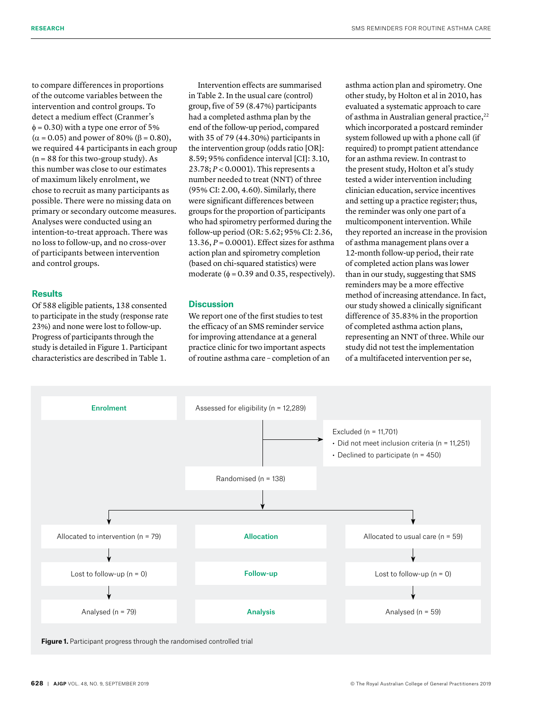to compare differences in proportions of the outcome variables between the intervention and control groups. To detect a medium effect (Cranmer's  $\phi$  = 0.30) with a type one error of 5%  $(α = 0.05)$  and power of 80% (β = 0.80), we required 44 participants in each group  $(n = 88$  for this two-group study). As this number was close to our estimates of maximum likely enrolment, we chose to recruit as many participants as possible. There were no missing data on primary or secondary outcome measures. Analyses were conducted using an intention-to-treat approach. There was no loss to follow-up, and no cross-over of participants between intervention and control groups.

## **Results**

Of 588 eligible patients, 138 consented to participate in the study (response rate 23%) and none were lost to follow-up. Progress of participants through the study is detailed in Figure 1. Participant characteristics are described in Table 1.

Intervention effects are summarised in Table 2. In the usual care (control) group, five of 59 (8.47%) participants had a completed asthma plan by the end of the follow-up period, compared with 35 of 79 (44.30%) participants in the intervention group (odds ratio [OR]: 8.59; 95% confidence interval [CI]: 3.10, 23.78; *P* < 0.0001). This represents a number needed to treat (NNT) of three (95% CI: 2.00, 4.60). Similarly, there were significant differences between groups for the proportion of participants who had spirometry performed during the follow-up period (OR: 5.62; 95% CI: 2.36, 13.36, *P* = 0.0001). Effect sizes for asthma action plan and spirometry completion (based on chi-squared statistics) were moderate ( $\phi$  = 0.39 and 0.35, respectively).

#### **Discussion**

We report one of the first studies to test the efficacy of an SMS reminder service for improving attendance at a general practice clinic for two important aspects of routine asthma care – completion of an asthma action plan and spirometry. One other study, by Holton et al in 2010, has evaluated a systematic approach to care of asthma in Australian general practice,<sup>22</sup> which incorporated a postcard reminder system followed up with a phone call (if required) to prompt patient attendance for an asthma review. In contrast to the present study, Holton et al's study tested a wider intervention including clinician education, service incentives and setting up a practice register; thus, the reminder was only one part of a multicomponent intervention. While they reported an increase in the provision of asthma management plans over a 12-month follow-up period, their rate of completed action plans was lower than in our study, suggesting that SMS reminders may be a more effective method of increasing attendance. In fact, our study showed a clinically significant difference of 35.83% in the proportion of completed asthma action plans, representing an NNT of three. While our study did not test the implementation of a multifaceted intervention per se,

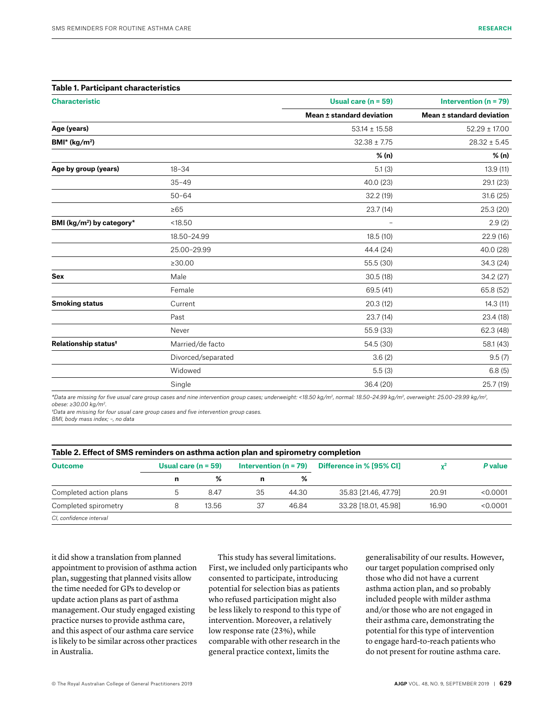| <b>Characteristic</b>                 |                    | Usual care ( $n = 59$ )   | Intervention ( $n = 79$ ) |  |
|---------------------------------------|--------------------|---------------------------|---------------------------|--|
|                                       |                    | Mean ± standard deviation | Mean ± standard deviation |  |
| Age (years)                           |                    | $53.14 \pm 15.58$         | $52.29 \pm 17.00$         |  |
| BMI* (kg/m <sup>2</sup> )             |                    | $32.38 \pm 7.75$          | $28.32 \pm 5.45$          |  |
|                                       |                    | % (n)                     | % (n)                     |  |
| Age by group (years)                  | $18 - 34$          | 5.1(3)                    | 13.9 (11)                 |  |
|                                       | $35 - 49$          | 40.0 (23)                 | 29.1 (23)                 |  |
|                                       | $50 - 64$          | 32.2 (19)                 | 31.6 (25)                 |  |
|                                       | $\geq 65$          | 23.7(14)                  | 25.3 (20)                 |  |
| BMI (kg/m <sup>2</sup> ) by category* | < 18.50            | $\qquad \qquad -$         | 2.9(2)                    |  |
|                                       | 18.50-24.99        | 18.5(10)                  | 22.9 (16)                 |  |
|                                       | 25.00-29.99        | 44.4 (24)                 | 40.0 (28)                 |  |
|                                       | $\geq 30.00$       | 55.5 (30)                 | 34.3 (24)                 |  |
| <b>Sex</b>                            | Male               | 30.5(18)                  | 34.2 (27)                 |  |
|                                       | Female             | 69.5 (41)                 | 65.8 (52)                 |  |
| <b>Smoking status</b>                 | Current            | 20.3 (12)                 | 14.3(11)                  |  |
|                                       | Past               | 23.7(14)                  | 23.4 (18)                 |  |
|                                       | Never              | 55.9 (33)                 | 62.3 (48)                 |  |
| Relationship status <sup>t</sup>      | Married/de facto   | 54.5 (30)                 | 58.1 (43)                 |  |
|                                       | Divorced/separated | 3.6(2)                    | 9.5(7)                    |  |
|                                       | Widowed            | 5.5(3)                    | 6.8(5)                    |  |
|                                       | Single             | 36.4 (20)                 | 25.7(19)                  |  |
|                                       |                    |                           |                           |  |

*\*Data are missing for five usual care group cases and nine intervention group cases; underweight: <18.50 kg/m2, normal: 18.50–24.99 kg/m2, overweight: 25.00–29.99 kg/m2, obese: ≥30.00 kg/m2.*

*†Data are missing for four usual care group cases and five intervention group cases. BMI, body mass index; –, no data*

## **Table 2. Effect of SMS reminders on asthma action plan and spirometry completion**

| <u>, as a change of the followed the assume well in plan and the childing the children and</u> |                       |       |                           |       |                          |       |          |  |  |  |
|------------------------------------------------------------------------------------------------|-----------------------|-------|---------------------------|-------|--------------------------|-------|----------|--|--|--|
| <b>Outcome</b>                                                                                 | Usual care $(n = 59)$ |       | Intervention ( $n = 79$ ) |       | Difference in % [95% CI] |       | P value  |  |  |  |
|                                                                                                | n                     | ℅     | n                         |       |                          |       |          |  |  |  |
| Completed action plans                                                                         |                       | 8.47  | 35                        | 44.30 | 35.83 [21.46, 47.79]     | 20.91 | < 0.0001 |  |  |  |
| Completed spirometry                                                                           |                       | 13.56 | 37                        | 46.84 | 33.28 [18.01, 45.98]     | 16.90 | < 0.0001 |  |  |  |
| CI, confidence interval                                                                        |                       |       |                           |       |                          |       |          |  |  |  |

it did show a translation from planned appointment to provision of asthma action plan, suggesting that planned visits allow the time needed for GPs to develop or update action plans as part of asthma management. Our study engaged existing practice nurses to provide asthma care, and this aspect of our asthma care service is likely to be similar across other practices in Australia.

This study has several limitations. First, we included only participants who consented to participate, introducing potential for selection bias as patients who refused participation might also be less likely to respond to this type of intervention. Moreover, a relatively low response rate (23%), while comparable with other research in the general practice context, limits the

generalisability of our results. However, our target population comprised only those who did not have a current asthma action plan, and so probably included people with milder asthma and/or those who are not engaged in their asthma care, demonstrating the potential for this type of intervention to engage hard-to-reach patients who do not present for routine asthma care.